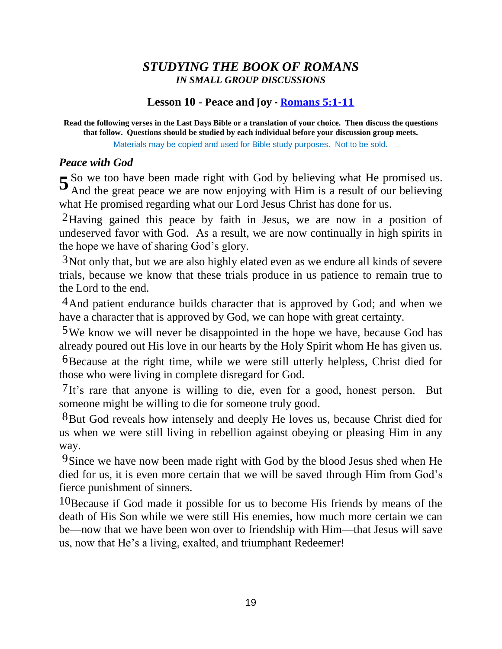# *STUDYING THE BOOK OF ROMANS IN SMALL GROUP DISCUSSIONS*

# **Lesson 10 - Peace and Joy - Romans 5:1-11**

**Read the following verses in the Last Days Bible or a translation of your choice. Then discuss the questions that follow. Questions should be studied by each individual before your discussion group meets.** Materials may be copied and used for Bible study purposes. Not to be sold.

### *Peace with God*

5 So we too have been made right with God by believing what He promised us.<br>And the great peace we are now enjoying with Him is a result of our believing And the great peace we are now enjoying with Him is a result of our believing what He promised regarding what our Lord Jesus Christ has done for us.

2Having gained this peace by faith in Jesus, we are now in a position of undeserved favor with God. As a result, we are now continually in high spirits in the hope we have of sharing God's glory.

3Not only that, but we are also highly elated even as we endure all kinds of severe trials, because we know that these trials produce in us patience to remain true to the Lord to the end.

<sup>4</sup>And patient endurance builds character that is approved by God; and when we have a character that is approved by God, we can hope with great certainty.

5We know we will never be disappointed in the hope we have, because God has already poured out His love in our hearts by the Holy Spirit whom He has given us.

6Because at the right time, while we were still utterly helpless, Christ died for those who were living in complete disregard for God.

7It's rare that anyone is willing to die, even for a good, honest person. But someone might be willing to die for someone truly good.

8But God reveals how intensely and deeply He loves us, because Christ died for us when we were still living in rebellion against obeying or pleasing Him in any way.

<sup>9</sup>Since we have now been made right with God by the blood Jesus shed when He died for us, it is even more certain that we will be saved through Him from God's fierce punishment of sinners.

10Because if God made it possible for us to become His friends by means of the death of His Son while we were still His enemies, how much more certain we can be—now that we have been won over to friendship with Him—that Jesus will save us, now that He's a living, exalted, and triumphant Redeemer!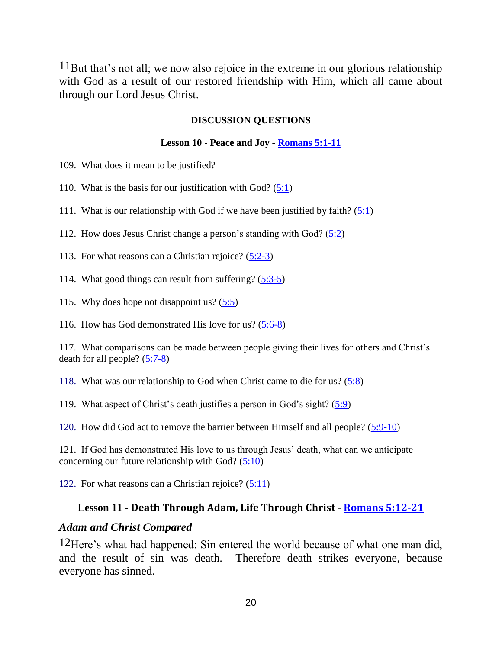11But that's not all; we now also rejoice in the extreme in our glorious relationship with God as a result of our restored friendship with Him, which all came about through our Lord Jesus Christ.

#### **DISCUSSION QUESTIONS**

#### **Lesson 10 - Peace and Joy - Romans 5:1-11**

- 109. What does it mean to be justified?
- 110. What is the basis for our justification with God?  $(5:1)$
- 111. What is our relationship with God if we have been justified by faith?  $(5:1)$
- 112. How does Jesus Christ change a person's standing with God? (5:2)
- 113. For what reasons can a Christian rejoice? (5:2-3)
- 114. What good things can result from suffering? (5:3-5)
- 115. Why does hope not disappoint us? (5:5)
- 116. How has God demonstrated His love for us? (5:6-8)

117. What comparisons can be made between people giving their lives for others and Christ's death for all people?  $(5:7-8)$ 

118. What was our relationship to God when Christ came to die for us? (5:8)

119. What aspect of Christ's death justifies a person in God's sight? (5:9)

120. How did God act to remove the barrier between Himself and all people? (5:9-10)

121. If God has demonstrated His love to us through Jesus' death, what can we anticipate concerning our future relationship with God? (5:10)

122. For what reasons can a Christian rejoice? (5:11)

### **Lesson 11 - Death Through Adam, Life Through Christ - Romans 5:12-21**

### *Adam and Christ Compared*

12Here's what had happened: Sin entered the world because of what one man did, and the result of sin was death. Therefore death strikes everyone, because everyone has sinned.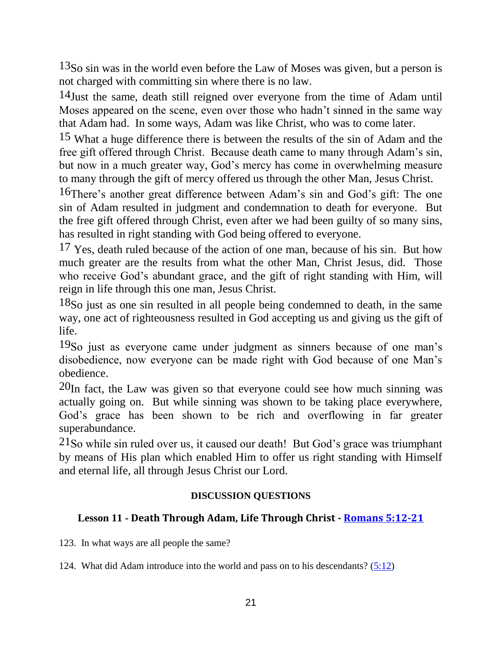<sup>13</sup>So sin was in the world even before the Law of Moses was given, but a person is not charged with committing sin where there is no law.

14Just the same, death still reigned over everyone from the time of Adam until Moses appeared on the scene, even over those who hadn't sinned in the same way that Adam had. In some ways, Adam was like Christ, who was to come later.

15 What a huge difference there is between the results of the sin of Adam and the free gift offered through Christ. Because death came to many through Adam's sin, but now in a much greater way, God's mercy has come in overwhelming measure to many through the gift of mercy offered us through the other Man, Jesus Christ.

16There's another great difference between Adam's sin and God's gift: The one sin of Adam resulted in judgment and condemnation to death for everyone. But the free gift offered through Christ, even after we had been guilty of so many sins, has resulted in right standing with God being offered to everyone.

17 Yes, death ruled because of the action of one man, because of his sin. But how much greater are the results from what the other Man, Christ Jesus, did. Those who receive God's abundant grace, and the gift of right standing with Him, will reign in life through this one man, Jesus Christ.

18So just as one sin resulted in all people being condemned to death, in the same way, one act of righteousness resulted in God accepting us and giving us the gift of life.

19So just as everyone came under judgment as sinners because of one man's disobedience, now everyone can be made right with God because of one Man's obedience.

 $20$ In fact, the Law was given so that everyone could see how much sinning was actually going on. But while sinning was shown to be taking place everywhere, God's grace has been shown to be rich and overflowing in far greater superabundance.

21So while sin ruled over us, it caused our death! But God's grace was triumphant by means of His plan which enabled Him to offer us right standing with Himself and eternal life, all through Jesus Christ our Lord.

### **DISCUSSION QUESTIONS**

# **Lesson 11 - Death Through Adam, Life Through Christ - Romans 5:12-21**

123. In what ways are all people the same?

124. What did Adam introduce into the world and pass on to his descendants? (5:12)